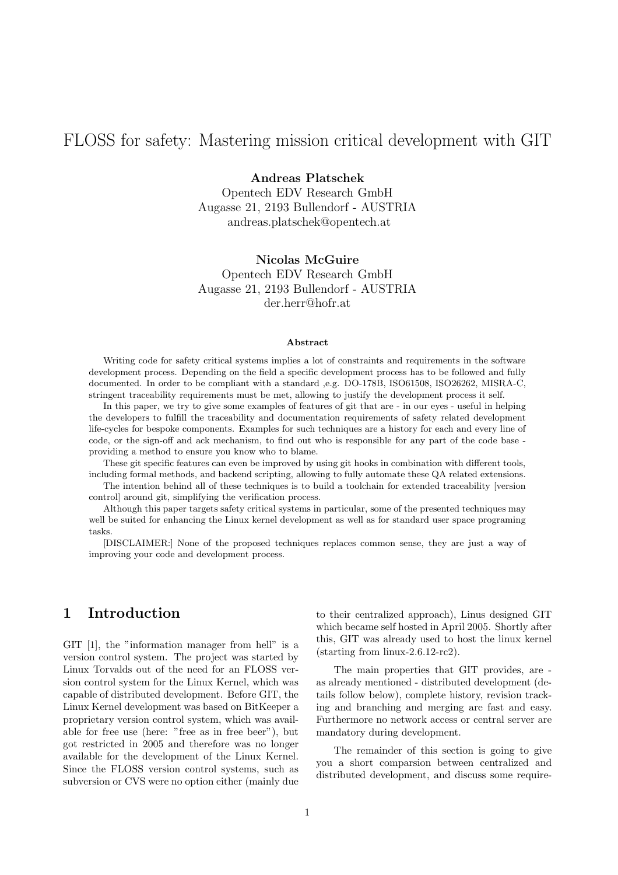# FLOSS for safety: Mastering mission critical development with GIT

#### Andreas Platschek

Opentech EDV Research GmbH Augasse 21, 2193 Bullendorf - AUSTRIA andreas.platschek@opentech.at

#### Nicolas McGuire

Opentech EDV Research GmbH Augasse 21, 2193 Bullendorf - AUSTRIA der.herr@hofr.at

#### Abstract

Writing code for safety critical systems implies a lot of constraints and requirements in the software development process. Depending on the field a specific development process has to be followed and fully documented. In order to be compliant with a standard ,e.g. DO-178B, ISO61508, ISO26262, MISRA-C, stringent traceability requirements must be met, allowing to justify the development process it self.

In this paper, we try to give some examples of features of git that are - in our eyes - useful in helping the developers to fulfill the traceability and documentation requirements of safety related development life-cycles for bespoke components. Examples for such techniques are a history for each and every line of code, or the sign-off and ack mechanism, to find out who is responsible for any part of the code base providing a method to ensure you know who to blame.

These git specific features can even be improved by using git hooks in combination with different tools, including formal methods, and backend scripting, allowing to fully automate these QA related extensions.

The intention behind all of these techniques is to build a toolchain for extended traceability [version control] around git, simplifying the verification process.

Although this paper targets safety critical systems in particular, some of the presented techniques may well be suited for enhancing the Linux kernel development as well as for standard user space programing tasks.

[DISCLAIMER:] None of the proposed techniques replaces common sense, they are just a way of improving your code and development process.

#### 1 Introduction

GIT [1], the "information manager from hell" is a version control system. The project was started by Linux Torvalds out of the need for an FLOSS version control system for the Linux Kernel, which was capable of distributed development. Before GIT, the Linux Kernel development was based on BitKeeper a proprietary version control system, which was available for free use (here: "free as in free beer"), but got restricted in 2005 and therefore was no longer available for the development of the Linux Kernel. Since the FLOSS version control systems, such as subversion or CVS were no option either (mainly due to their centralized approach), Linus designed GIT which became self hosted in April 2005. Shortly after this, GIT was already used to host the linux kernel (starting from linux-2.6.12-rc2).

The main properties that GIT provides, are as already mentioned - distributed development (details follow below), complete history, revision tracking and branching and merging are fast and easy. Furthermore no network access or central server are mandatory during development.

The remainder of this section is going to give you a short comparsion between centralized and distributed development, and discuss some require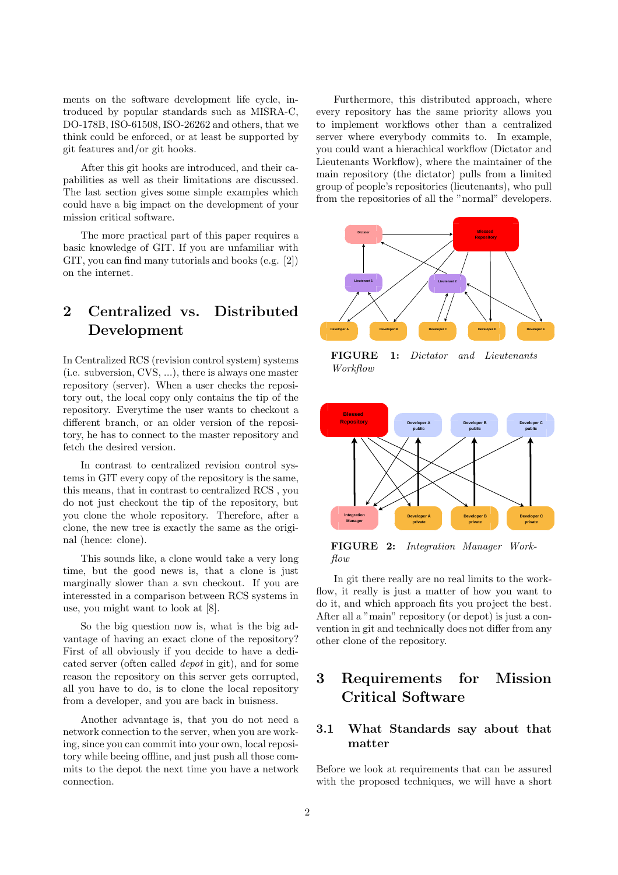ments on the software development life cycle, introduced by popular standards such as MISRA-C, DO-178B, ISO-61508, ISO-26262 and others, that we think could be enforced, or at least be supported by git features and/or git hooks.

After this git hooks are introduced, and their capabilities as well as their limitations are discussed. The last section gives some simple examples which could have a big impact on the development of your mission critical software.

The more practical part of this paper requires a basic knowledge of GIT. If you are unfamiliar with GIT, you can find many tutorials and books (e.g. [2]) on the internet.

# 2 Centralized vs. Distributed Development

In Centralized RCS (revision control system) systems (i.e. subversion, CVS, ...), there is always one master repository (server). When a user checks the repository out, the local copy only contains the tip of the repository. Everytime the user wants to checkout a different branch, or an older version of the repository, he has to connect to the master repository and fetch the desired version.

In contrast to centralized revision control systems in GIT every copy of the repository is the same, this means, that in contrast to centralized RCS , you do not just checkout the tip of the repository, but you clone the whole repository. Therefore, after a clone, the new tree is exactly the same as the original (hence: clone).

This sounds like, a clone would take a very long time, but the good news is, that a clone is just marginally slower than a svn checkout. If you are interessted in a comparison between RCS systems in use, you might want to look at [8].

So the big question now is, what is the big advantage of having an exact clone of the repository? First of all obviously if you decide to have a dedicated server (often called *depot* in git), and for some reason the repository on this server gets corrupted, all you have to do, is to clone the local repository from a developer, and you are back in buisness.

Another advantage is, that you do not need a network connection to the server, when you are working, since you can commit into your own, local repository while beeing offline, and just push all those commits to the depot the next time you have a network connection.

Furthermore, this distributed approach, where every repository has the same priority allows you to implement workflows other than a centralized server where everybody commits to. In example, you could want a hierachical workflow (Dictator and Lieutenants Workflow), where the maintainer of the main repository (the dictator) pulls from a limited group of people's repositories (lieutenants), who pull from the repositories of all the "normal" developers.



FIGURE 1: *Dictator and Lieutenants Workflow*



FIGURE 2: *Integration Manager Workflow*

In git there really are no real limits to the workflow, it really is just a matter of how you want to do it, and which approach fits you project the best. After all a "main" repository (or depot) is just a convention in git and technically does not differ from any other clone of the repository.

## 3 Requirements for Mission Critical Software

#### 3.1 What Standards say about that matter

Before we look at requirements that can be assured with the proposed techniques, we will have a short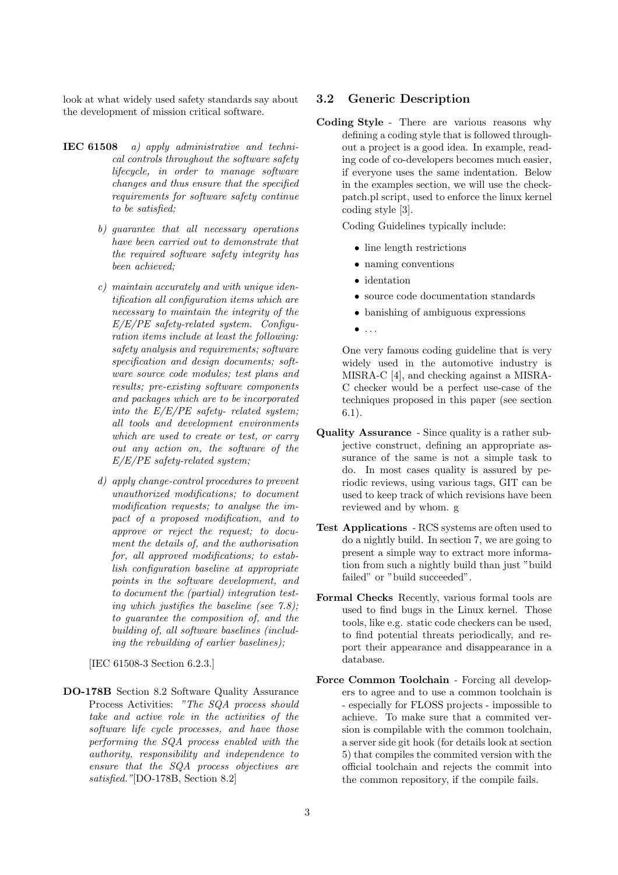look at what widely used safety standards say about the development of mission critical software.

- IEC 61508 *a) apply administrative and technical controls throughout the software safety lifecycle, in order to manage software changes and thus ensure that the specified requirements for software safety continue to be satisfied;*
	- *b) guarantee that all necessary operations have been carried out to demonstrate that the required software safety integrity has been achieved;*
	- *c) maintain accurately and with unique identification all configuration items which are necessary to maintain the integrity of the E/E/PE safety-related system. Configuration items include at least the following: safety analysis and requirements; software specification and design documents; software source code modules; test plans and results; pre-existing software components and packages which are to be incorporated into the E/E/PE safety- related system; all tools and development environments which are used to create or test, or carry out any action on, the software of the E/E/PE safety-related system;*
	- *d) apply change-control procedures to prevent unauthorized modifications; to document modification requests; to analyse the impact of a proposed modification, and to approve or reject the request; to document the details of, and the authorisation for, all approved modifications; to establish configuration baseline at appropriate points in the software development, and to document the (partial) integration testing which justifies the baseline (see 7.8); to guarantee the composition of, and the building of, all software baselines (including the rebuilding of earlier baselines);*

[IEC 61508-3 Section 6.2.3.]

DO-178B Section 8.2 Software Quality Assurance Process Activities: *"The SQA process should take and active role in the activities of the software life cycle processes, and have those performing the SQA process enabled with the authority, responsibility and independence to ensure that the SQA process objectives are satisfied."*[DO-178B, Section 8.2]

#### 3.2 Generic Description

Coding Style - There are various reasons why defining a coding style that is followed throughout a project is a good idea. In example, reading code of co-developers becomes much easier, if everyone uses the same indentation. Below in the examples section, we will use the checkpatch.pl script, used to enforce the linux kernel coding style [3].

Coding Guidelines typically include:

- line length restrictions
- naming conventions
- identation
- source code documentation standards
- banishing of ambiguous expressions
- $\bullet$  ...

One very famous coding guideline that is very widely used in the automotive industry is MISRA-C [4], and checking against a MISRA-C checker would be a perfect use-case of the techniques proposed in this paper (see section 6.1).

- Quality Assurance Since quality is a rather subjective construct, defining an appropriate assurance of the same is not a simple task to do. In most cases quality is assured by periodic reviews, using various tags, GIT can be used to keep track of which revisions have been reviewed and by whom. g
- Test Applications RCS systems are often used to do a nightly build. In section 7, we are going to present a simple way to extract more information from such a nightly build than just "build failed" or "build succeeded".
- Formal Checks Recently, various formal tools are used to find bugs in the Linux kernel. Those tools, like e.g. static code checkers can be used, to find potential threats periodically, and report their appearance and disappearance in a database.
- Force Common Toolchain Forcing all developers to agree and to use a common toolchain is - especially for FLOSS projects - impossible to achieve. To make sure that a commited version is compilable with the common toolchain, a server side git hook (for details look at section 5) that compiles the commited version with the official toolchain and rejects the commit into the common repository, if the compile fails.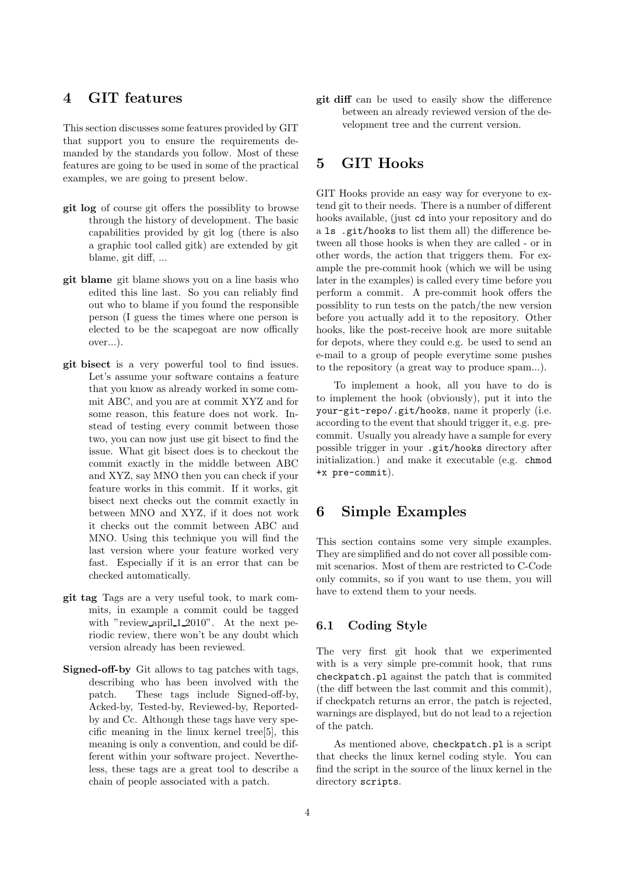## 4 GIT features

This section discusses some features provided by GIT that support you to ensure the requirements demanded by the standards you follow. Most of these features are going to be used in some of the practical examples, we are going to present below.

- git log of course git offers the possiblity to browse through the history of development. The basic capabilities provided by git log (there is also a graphic tool called gitk) are extended by git blame, git diff, ...
- git blame git blame shows you on a line basis who edited this line last. So you can reliably find out who to blame if you found the responsible person (I guess the times where one person is elected to be the scapegoat are now offically over...).
- git bisect is a very powerful tool to find issues. Let's assume your software contains a feature that you know as already worked in some commit ABC, and you are at commit XYZ and for some reason, this feature does not work. Instead of testing every commit between those two, you can now just use git bisect to find the issue. What git bisect does is to checkout the commit exactly in the middle between ABC and XYZ, say MNO then you can check if your feature works in this commit. If it works, git bisect next checks out the commit exactly in between MNO and XYZ, if it does not work it checks out the commit between ABC and MNO. Using this technique you will find the last version where your feature worked very fast. Especially if it is an error that can be checked automatically.
- git tag Tags are a very useful took, to mark commits, in example a commit could be tagged with "review\_april\_1\_2010". At the next periodic review, there won't be any doubt which version already has been reviewed.
- Signed-off-by Git allows to tag patches with tags, describing who has been involved with the patch. These tags include Signed-off-by, Acked-by, Tested-by, Reviewed-by, Reportedby and Cc. Although these tags have very specific meaning in the linux kernel tree[5], this meaning is only a convention, and could be different within your software project. Nevertheless, these tags are a great tool to describe a chain of people associated with a patch.

git diff can be used to easily show the difference between an already reviewed version of the development tree and the current version.

## 5 GIT Hooks

GIT Hooks provide an easy way for everyone to extend git to their needs. There is a number of different hooks available, (just cd into your repository and do a ls .git/hooks to list them all) the difference between all those hooks is when they are called - or in other words, the action that triggers them. For example the pre-commit hook (which we will be using later in the examples) is called every time before you perform a commit. A pre-commit hook offers the possiblity to run tests on the patch/the new version before you actually add it to the repository. Other hooks, like the post-receive hook are more suitable for depots, where they could e.g. be used to send an e-mail to a group of people everytime some pushes to the repository (a great way to produce spam...).

To implement a hook, all you have to do is to implement the hook (obviously), put it into the your-git-repo/.git/hooks, name it properly (i.e. according to the event that should trigger it, e.g. precommit. Usually you already have a sample for every possible trigger in your .git/hooks directory after initialization.) and make it executable (e.g. chmod +x pre-commit).

#### 6 Simple Examples

This section contains some very simple examples. They are simplified and do not cover all possible commit scenarios. Most of them are restricted to C-Code only commits, so if you want to use them, you will have to extend them to your needs.

#### 6.1 Coding Style

The very first git hook that we experimented with is a very simple pre-commit hook, that runs checkpatch.pl against the patch that is commited (the diff between the last commit and this commit), if checkpatch returns an error, the patch is rejected, warnings are displayed, but do not lead to a rejection of the patch.

As mentioned above, checkpatch.pl is a script that checks the linux kernel coding style. You can find the script in the source of the linux kernel in the directory scripts.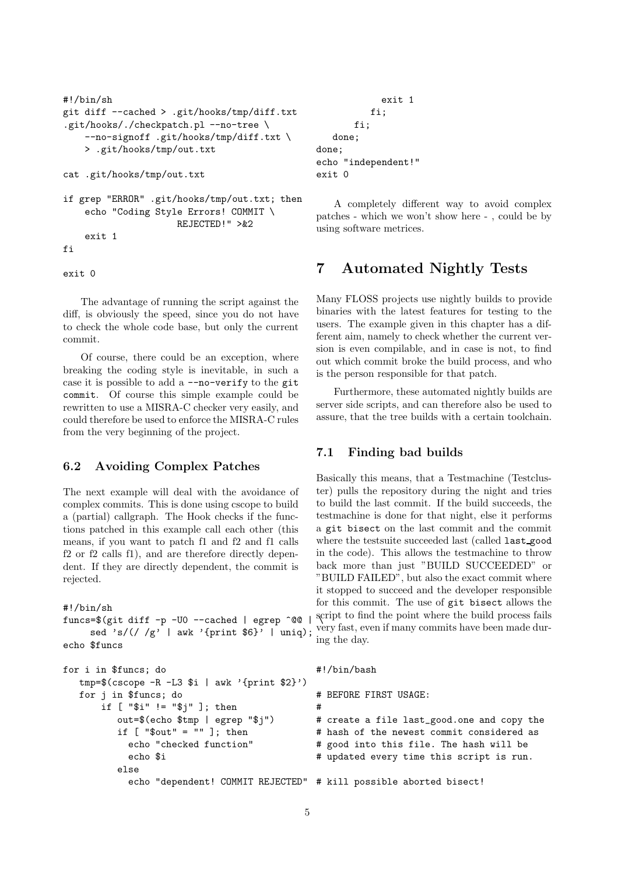```
#!/bin/sh
git diff --cached > .git/hooks/tmp/diff.txt
.git/hooks/./checkpatch.pl --no-tree \
    --no-signoff .git/hooks/tmp/diff.txt \
    > .git/hooks/tmp/out.txt
cat .git/hooks/tmp/out.txt
if grep "ERROR" .git/hooks/tmp/out.txt; then
    echo "Coding Style Errors! COMMIT \
                     REJECTED!" >&2
    exit 1
fi
```
exit 0

The advantage of running the script against the diff, is obviously the speed, since you do not have to check the whole code base, but only the current commit.

Of course, there could be an exception, where breaking the coding style is inevitable, in such a case it is possible to add a --no-verify to the git commit. Of course this simple example could be rewritten to use a MISRA-C checker very easily, and could therefore be used to enforce the MISRA-C rules from the very beginning of the project.

#### 6.2 Avoiding Complex Patches

The next example will deal with the avoidance of complex commits. This is done using cscope to build a (partial) callgraph. The Hook checks if the functions patched in this example call each other (this means, if you want to patch f1 and f2 and f1 calls f2 or f2 calls f1), and are therefore directly dependent. If they are directly dependent, the commit is rejected.

```
#!/bin/sh
funcs=\frac{1}{2}(git diff -p -U0 --cached | egrep \frac{1}{2}sed 's/\left(\frac{1}{g'} | \text{aux 'front $6} \right)' | uniq);
echo $funcs
```

```
for i in $funcs; do
   tmp=\$(cscope -R -L3 $i | awk '{print $2}'')for j in $funcs; do
       if [ "$i" != "$j" ]; then
          out=$(echo $tmp | egrep "$j")
          if [ "\text{\$out" = "" } ]; then
            echo "checked function"
            echo $i
          else
            echo "dependent! COMMIT REJECTED"
# kill possible aborted bisect!
                                                # BEFORE FIRST USAGE:
                                                #
                                                # create a file last_good.one and copy the
                                                # hash of the newest commit considered as
                                                # good into this file. The hash will be
                                                # updated every time this script is run.
```
exit 1 fi; fi; done; done; echo "independent!" exit 0

A completely different way to avoid complex patches - which we won't show here - , could be by using software metrices.

## 7 Automated Nightly Tests

Many FLOSS projects use nightly builds to provide binaries with the latest features for testing to the users. The example given in this chapter has a different aim, namely to check whether the current version is even compilable, and in case is not, to find out which commit broke the build process, and who is the person responsible for that patch.

Furthermore, these automated nightly builds are server side scripts, and can therefore also be used to assure, that the tree builds with a certain toolchain.

#### 7.1 Finding bad builds

Basically this means, that a Testmachine (Testcluster) pulls the repository during the night and tries to build the last commit. If the build succeeds, the testmachine is done for that night, else it performs a git bisect on the last commit and the commit where the testsuite succeeded last (called last good in the code). This allows the testmachine to throw back more than just "BUILD SUCCEEDED" or "BUILD FAILED", but also the exact commit where it stopped to succeed and the developer responsible for this commit. The use of git bisect allows the script to find the point where the build process fails very fast, even if many commits have been made during the day.

#!/bin/bash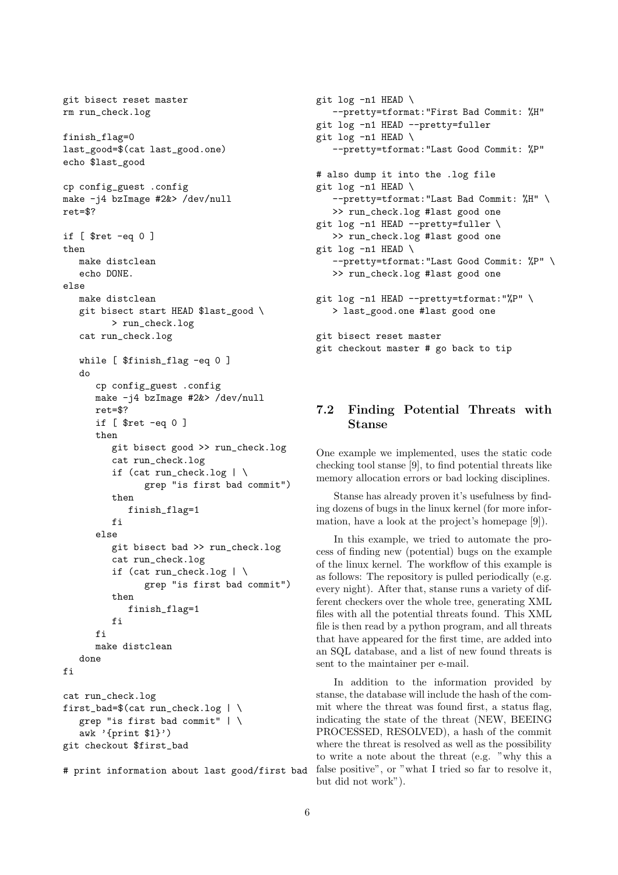```
git bisect reset master
rm run_check.log
finish_flag=0
last_good=$(cat last_good.one)
echo $last_good
cp config_guest .config
make -j4 bzImage #2&> /dev/null
ret=$?
if [ $ret -eq 0 ]
then
   make distclean
   echo DONE.
else
   make distclean
   git bisect start HEAD $last_good \
         > run_check.log
   cat run_check.log
   while [ $finish_flag -eq 0 ]
   do
      cp config_guest .config
      make -j4 bzImage #2&> /dev/null
      ret=$?
      if [ $ret -eq 0 ]
      then
         git bisect good >> run_check.log
         cat run_check.log
         if (cat run_check.log | \
               grep "is first bad commit")
         then
            finish_flag=1
         fi
      else
         git bisect bad >> run_check.log
         cat run_check.log
         if (cat run_check.log |\n\ \ranglegrep "is first bad commit")
         then
            finish_flag=1
         fi
      f_imake distclean
   done
fi
cat run_check.log
first_bad=$(cat run\_check.log | \grep "is first bad commit" | \
   awk '{print $1}')
git checkout $first_bad
# print information about last good/first bad
```

```
file is then read by a python program, and all threats
that have appeared for the first time, are added into
an SQL database, and a list of new found threats is
sent to the maintainer per e-mail.
```
In addition to the information provided by stanse, the database will include the hash of the commit where the threat was found first, a status flag, indicating the state of the threat (NEW, BEEING PROCESSED, RESOLVED), a hash of the commit where the threat is resolved as well as the possibility to write a note about the threat (e.g. "why this a false positive", or "what I tried so far to resolve it, but did not work").

```
7.2 Finding Potential Threats with
    Stanse
```
--pretty=tformat:"First Bad Commit: %H"

--pretty=tformat:"Last Good Commit: %P"

--pretty=tformat:"Last Bad Commit: %H" \

--pretty=tformat:"Last Good Commit: %P" \

git log -n1 HEAD --pretty=fuller

# also dump it into the .log file

>> run\_check.log #last good one git log -n1 HEAD --pretty=fuller \ >> run\_check.log #last good one

>> run\_check.log #last good one

git checkout master # go back to tip

git log -n1 HEAD --pretty=tformat:"%P" \ > last\_good.one #last good one

git log -n1 HEAD \

git log -n1 HEAD \

git log -n1 HEAD \

git log -n1 HEAD \

git bisect reset master

One example we implemented, uses the static code checking tool stanse [9], to find potential threats like memory allocation errors or bad locking disciplines.

Stanse has already proven it's usefulness by finding dozens of bugs in the linux kernel (for more information, have a look at the project's homepage [9]).

In this example, we tried to automate the process of finding new (potential) bugs on the example of the linux kernel. The workflow of this example is as follows: The repository is pulled periodically (e.g. every night). After that, stanse runs a variety of different checkers over the whole tree, generating XML files with all the potential threats found. This XML